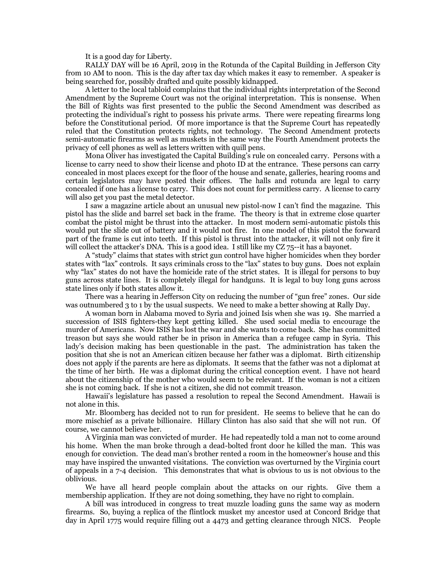It is a good day for Liberty.

RALLY DAY will be 16 April, 2019 in the Rotunda of the Capital Building in Jefferson City from 10 AM to noon. This is the day after tax day which makes it easy to remember. A speaker is being searched for, possibly drafted and quite possibly kidnapped.

A letter to the local tabloid complains that the individual rights interpretation of the Second Amendment by the Supreme Court was not the original interpretation. This is nonsense. When the Bill of Rights was first presented to the public the Second Amendment was described as protecting the individual's right to possess his private arms. There were repeating firearms long before the Constitutional period. Of more importance is that the Supreme Court has repeatedly ruled that the Constitution protects rights, not technology. The Second Amendment protects semi-automatic firearms as well as muskets in the same way the Fourth Amendment protects the privacy of cell phones as well as letters written with quill pens.

Mona Oliver has investigated the Capital Building's rule on concealed carry. Persons with a license to carry need to show their license and photo ID at the entrance. These persons can carry concealed in most places except for the floor of the house and senate, galleries, hearing rooms and certain legislators may have posted their offices. The halls and rotunda are legal to carry concealed if one has a license to carry. This does not count for permitless carry. A license to carry will also get you past the metal detector.

I saw a magazine article about an unusual new pistol-now I can't find the magazine. This pistol has the slide and barrel set back in the frame. The theory is that in extreme close quarter combat the pistol might be thrust into the attacker. In most modern semi-automatic pistols this would put the slide out of battery and it would not fire. In one model of this pistol the forward part of the frame is cut into teeth. If this pistol is thrust into the attacker, it will not only fire it will collect the attacker's DNA. This is a good idea. I still like my CZ 75--it has a bayonet.

A "study" claims that states with strict gun control have higher homicides when they border states with "lax" controls. It says criminals cross to the "lax" states to buy guns. Does not explain why "lax" states do not have the homicide rate of the strict states. It is illegal for persons to buy guns across state lines. It is completely illegal for handguns. It is legal to buy long guns across state lines only if both states allow it.

There was a hearing in Jefferson City on reducing the number of "gun free" zones. Our side was outnumbered 3 to 1 by the usual suspects. We need to make a better showing at Rally Day.

A woman born in Alabama moved to Syria and joined Isis when she was 19. She married a succession of ISIS fighters-they kept getting killed. She used social media to encourage the murder of Americans. Now ISIS has lost the war and she wants to come back. She has committed treason but says she would rather be in prison in America than a refugee camp in Syria. This lady's decision making has been questionable in the past. The administration has taken the position that she is not an American citizen because her father was a diplomat. Birth citizenship does not apply if the parents are here as diplomats. It seems that the father was not a diplomat at the time of her birth. He was a diplomat during the critical conception event. I have not heard about the citizenship of the mother who would seem to be relevant. If the woman is not a citizen she is not coming back. If she is not a citizen, she did not commit treason.

Hawaii's legislature has passed a resolution to repeal the Second Amendment. Hawaii is not alone in this.

Mr. Bloomberg has decided not to run for president. He seems to believe that he can do more mischief as a private billionaire. Hillary Clinton has also said that she will not run. Of course, we cannot believe her.

A Virginia man was convicted of murder. He had repeatedly told a man not to come around his home. When the man broke through a dead-bolted front door he killed the man. This was enough for conviction. The dead man's brother rented a room in the homeowner's house and this may have inspired the unwanted visitations. The conviction was overturned by the Virginia court of appeals in a 7-4 decision. This demonstrates that what is obvious to us is not obvious to the oblivious.

We have all heard people complain about the attacks on our rights. Give them a membership application. If they are not doing something, they have no right to complain.

A bill was introduced in congress to treat muzzle loading guns the same way as modern firearms. So, buying a replica of the flintlock musket my ancestor used at Concord Bridge that day in April 1775 would require filling out a 4473 and getting clearance through NICS. People